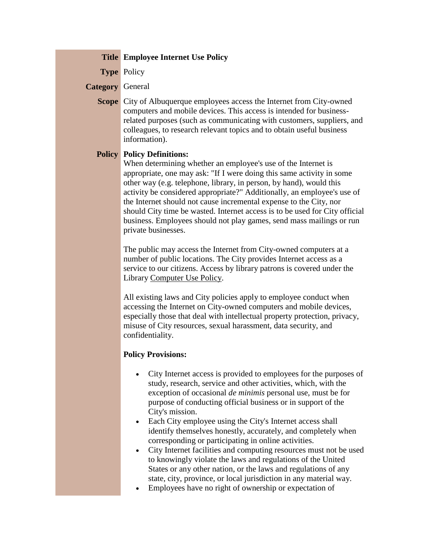## **Title Employee Internet Use Policy**

**Type** Policy

## **Category** General

**Scope** City of Albuquerque employees access the Internet from City-owned computers and mobile devices. This access is intended for businessrelated purposes (such as communicating with customers, suppliers, and colleagues, to research relevant topics and to obtain useful business information).

## **Policy Policy Definitions:**

When determining whether an employee's use of the Internet is appropriate, one may ask: "If I were doing this same activity in some other way (e.g. telephone, library, in person, by hand), would this activity be considered appropriate?" Additionally, an employee's use of the Internet should not cause incremental expense to the City, nor should City time be wasted. Internet access is to be used for City official business. Employees should not play games, send mass mailings or run private businesses.

The public may access the Internet from City-owned computers at a number of public locations. The City provides Internet access as a service to our citizens. Access by library patrons is covered under the Library Computer Use Policy.

All existing laws and City policies apply to employee conduct when accessing the Internet on City-owned computers and mobile devices, especially those that deal with intellectual property protection, privacy, misuse of City resources, sexual harassment, data security, and confidentiality.

## **Policy Provisions:**

- City Internet access is provided to employees for the purposes of study, research, service and other activities, which, with the exception of occasional *de minimis* personal use, must be for purpose of conducting official business or in support of the City's mission.
- Each City employee using the City's Internet access shall identify themselves honestly, accurately, and completely when corresponding or participating in online activities.
- City Internet facilities and computing resources must not be used to knowingly violate the laws and regulations of the United States or any other nation, or the laws and regulations of any state, city, province, or local jurisdiction in any material way.
- Employees have no right of ownership or expectation of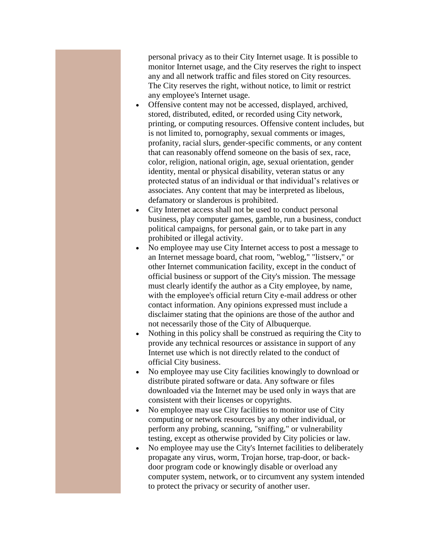personal privacy as to their City Internet usage. It is possible to monitor Internet usage, and the City reserves the right to inspect any and all network traffic and files stored on City resources. The City reserves the right, without notice, to limit or restrict any employee's Internet usage.

- Offensive content may not be accessed, displayed, archived, stored, distributed, edited, or recorded using City network, printing, or computing resources. Offensive content includes, but is not limited to, pornography, sexual comments or images, profanity, racial slurs, gender-specific comments, or any content that can reasonably offend someone on the basis of sex, race, color, religion, national origin, age, sexual orientation, gender identity, mental or physical disability, veteran status or any protected status of an individual or that individual's relatives or associates. Any content that may be interpreted as libelous, defamatory or slanderous is prohibited.
- City Internet access shall not be used to conduct personal business, play computer games, gamble, run a business, conduct political campaigns, for personal gain, or to take part in any prohibited or illegal activity.
- No employee may use City Internet access to post a message to an Internet message board, chat room, "weblog," "listserv," or other Internet communication facility, except in the conduct of official business or support of the City's mission. The message must clearly identify the author as a City employee, by name, with the employee's official return City e-mail address or other contact information. Any opinions expressed must include a disclaimer stating that the opinions are those of the author and not necessarily those of the City of Albuquerque.
- Nothing in this policy shall be construed as requiring the City to provide any technical resources or assistance in support of any Internet use which is not directly related to the conduct of official City business.
- No employee may use City facilities knowingly to download or distribute pirated software or data. Any software or files downloaded via the Internet may be used only in ways that are consistent with their licenses or copyrights.
- No employee may use City facilities to monitor use of City computing or network resources by any other individual, or perform any probing, scanning, "sniffing," or vulnerability testing, except as otherwise provided by City policies or law.
- No employee may use the City's Internet facilities to deliberately propagate any virus, worm, Trojan horse, trap-door, or backdoor program code or knowingly disable or overload any computer system, network, or to circumvent any system intended to protect the privacy or security of another user.